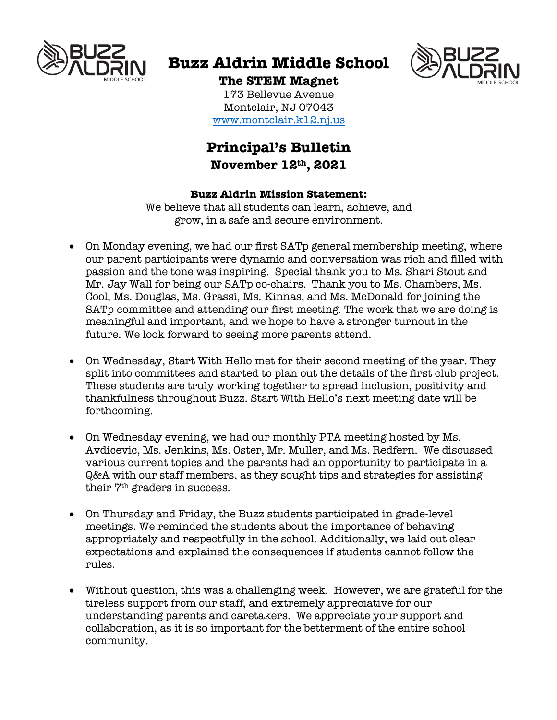

# **Buzz Aldrin Middle School**



**The STEM Magnet** 173 Bellevue Avenue

Montclair, NJ 07043 www.montclair.k12.nj.us

# **Principal's Bulletin November 12th, 2021**

## **Buzz Aldrin Mission Statement:**

We believe that all students can learn, achieve, and grow, in a safe and secure environment.

- On Monday evening, we had our first SATp general membership meeting, where our parent participants were dynamic and conversation was rich and filled with passion and the tone was inspiring. Special thank you to Ms. Shari Stout and Mr. Jay Wall for being our SATp co-chairs. Thank you to Ms. Chambers, Ms. Cool, Ms. Douglas, Ms. Grassi, Ms. Kinnas, and Ms. McDonald for joining the SATp committee and attending our first meeting. The work that we are doing is meaningful and important, and we hope to have a stronger turnout in the future. We look forward to seeing more parents attend.
- On Wednesday, Start With Hello met for their second meeting of the year. They split into committees and started to plan out the details of the first club project. These students are truly working together to spread inclusion, positivity and thankfulness throughout Buzz. Start With Hello's next meeting date will be forthcoming.
- On Wednesday evening, we had our monthly PTA meeting hosted by Ms. Avdicevic, Ms. Jenkins, Ms. Oster, Mr. Muller, and Ms. Redfern. We discussed various current topics and the parents had an opportunity to participate in a Q&A with our staff members, as they sought tips and strategies for assisting their 7th graders in success.
- On Thursday and Friday, the Buzz students participated in grade-level meetings. We reminded the students about the importance of behaving appropriately and respectfully in the school. Additionally, we laid out clear expectations and explained the consequences if students cannot follow the rules.
- Without question, this was a challenging week. However, we are grateful for the tireless support from our staff, and extremely appreciative for our understanding parents and caretakers. We appreciate your support and collaboration, as it is so important for the betterment of the entire school community.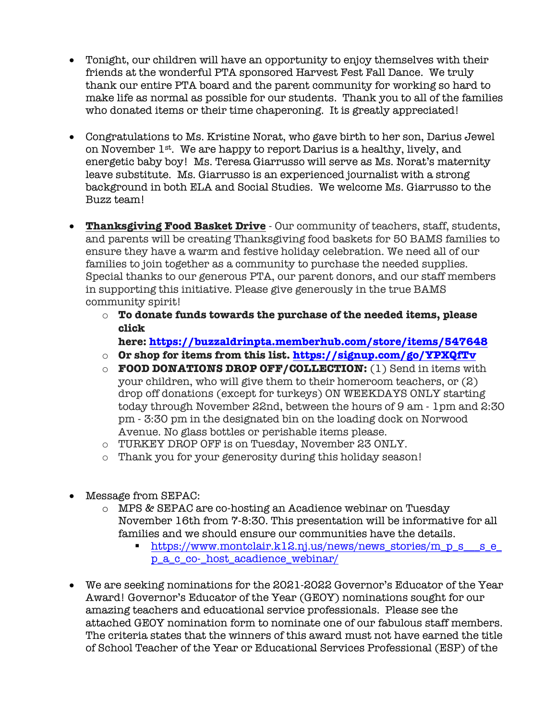- Tonight, our children will have an opportunity to enjoy themselves with their friends at the wonderful PTA sponsored Harvest Fest Fall Dance. We truly thank our entire PTA board and the parent community for working so hard to make life as normal as possible for our students. Thank you to all of the families who donated items or their time chaperoning. It is greatly appreciated!
- Congratulations to Ms. Kristine Norat, who gave birth to her son, Darius Jewel on November 1st. We are happy to report Darius is a healthy, lively, and energetic baby boy! Ms. Teresa Giarrusso will serve as Ms. Norat's maternity leave substitute. Ms. Giarrusso is an experienced journalist with a strong background in both ELA and Social Studies. We welcome Ms. Giarrusso to the Buzz team!
- **Thanksgiving Food Basket Drive** Our community of teachers, staff, students, and parents will be creating Thanksgiving food baskets for 50 BAMS families to ensure they have a warm and festive holiday celebration. We need all of our families to join together as a community to purchase the needed supplies. Special thanks to our generous PTA, our parent donors, and our staff members in supporting this initiative. Please give generously in the true BAMS community spirit!
	- o **To donate funds towards the purchase of the needed items, please click**

**here: https://buzzaldrinpta.memberhub.com/store/items/547648**

- o **Or shop for items from this list. https://signup.com/go/YPXQfTv**
- o **FOOD DONATIONS DROP OFF/COLLECTION:** (1) Send in items with your children, who will give them to their homeroom teachers, or (2) drop off donations (except for turkeys) ON WEEKDAYS ONLY starting today through November 22nd, between the hours of 9 am - 1pm and 2:30 pm - 3:30 pm in the designated bin on the loading dock on Norwood Avenue. No glass bottles or perishable items please.
- o TURKEY DROP OFF is on Tuesday, November 23 ONLY.
- o Thank you for your generosity during this holiday season!
- Message from SEPAC:
	- o MPS & SEPAC are co-hosting an Acadience webinar on Tuesday November 16th from 7-8:30. This presentation will be informative for all families and we should ensure our communities have the details.
		- § https://www.montclair.k12.nj.us/news/news\_stories/m\_p\_s\_\_\_s\_e\_ p\_a\_c\_co-\_host\_acadience\_webinar/
- We are seeking nominations for the 2021-2022 Governor's Educator of the Year Award! Governor's Educator of the Year (GEOY) nominations sought for our amazing teachers and educational service professionals. Please see the attached GEOY nomination form to nominate one of our fabulous staff members. The criteria states that the winners of this award must not have earned the title of School Teacher of the Year or Educational Services Professional (ESP) of the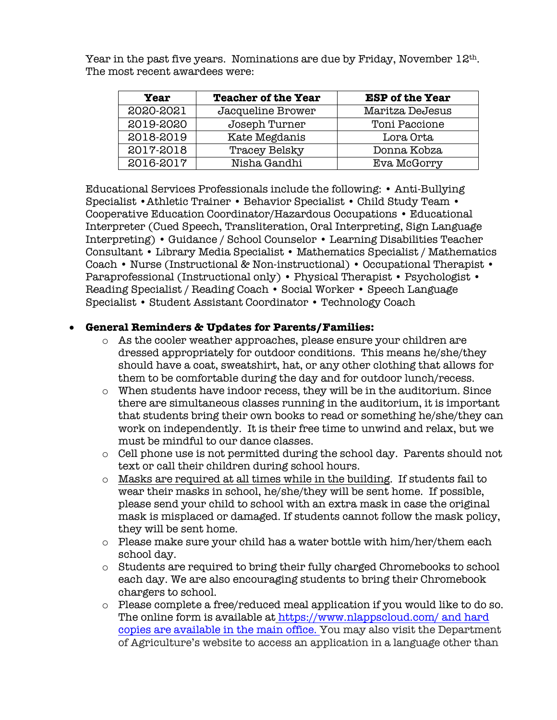Year in the past five years. Nominations are due by Friday, November  $12<sup>th</sup>$ . The most recent awardees were:

| <b>Year</b> | <b>Teacher of the Year</b> | <b>ESP of the Year</b> |
|-------------|----------------------------|------------------------|
| 2020-2021   | Jacqueline Brower          | Maritza DeJesus        |
| 2019-2020   | Joseph Turner              | Toni Paccione          |
| 2018-2019   | Kate Megdanis              | Lora Orta              |
| 2017-2018   | Tracey Belsky              | Donna Kobza            |
| 2016-2017   | Nisha Gandhi               | Eva McGorry            |

Educational Services Professionals include the following: • Anti-Bullying Specialist •Athletic Trainer • Behavior Specialist • Child Study Team • Cooperative Education Coordinator/Hazardous Occupations • Educational Interpreter (Cued Speech, Transliteration, Oral Interpreting, Sign Language Interpreting) • Guidance / School Counselor • Learning Disabilities Teacher Consultant • Library Media Specialist • Mathematics Specialist / Mathematics Coach • Nurse (Instructional & Non-instructional) • Occupational Therapist • Paraprofessional (Instructional only) • Physical Therapist • Psychologist • Reading Specialist / Reading Coach • Social Worker • Speech Language Specialist • Student Assistant Coordinator • Technology Coach

#### • **General Reminders & Updates for Parents/Families:**

- o As the cooler weather approaches, please ensure your children are dressed appropriately for outdoor conditions. This means he/she/they should have a coat, sweatshirt, hat, or any other clothing that allows for them to be comfortable during the day and for outdoor lunch/recess.
- o When students have indoor recess, they will be in the auditorium. Since there are simultaneous classes running in the auditorium, it is important that students bring their own books to read or something he/she/they can work on independently. It is their free time to unwind and relax, but we must be mindful to our dance classes.
- o Cell phone use is not permitted during the school day. Parents should not text or call their children during school hours.
- $\circ$  Masks are required at all times while in the building. If students fail to wear their masks in school, he/she/they will be sent home. If possible, please send your child to school with an extra mask in case the original mask is misplaced or damaged. If students cannot follow the mask policy, they will be sent home.
- $\circ$  Please make sure your child has a water bottle with him/her/them each school day.
- o Students are required to bring their fully charged Chromebooks to school each day. We are also encouraging students to bring their Chromebook chargers to school.
- o Please complete a free/reduced meal application if you would like to do so. The online form is available at https://www.nlappscloud.com/ and hard copies are available in the main office. You may also visit the Department of Agriculture's website to access an application in a language other than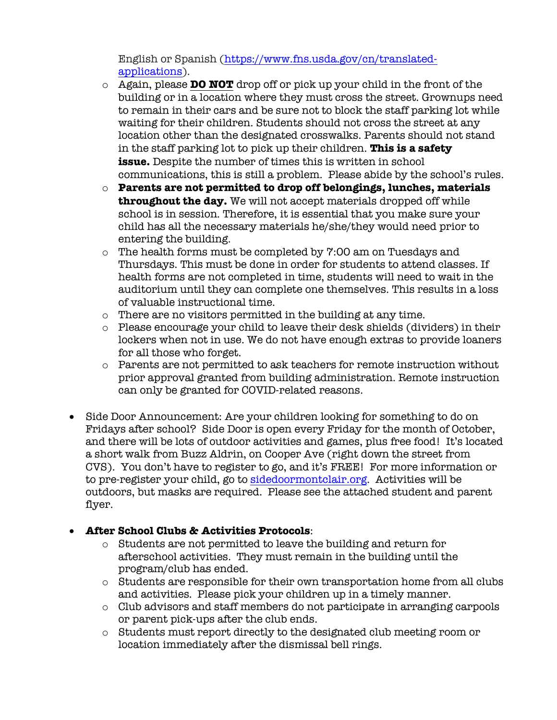English or Spanish (https://www.fns.usda.gov/cn/translatedapplications).

- o Again, please **DO NOT** drop off or pick up your child in the front of the building or in a location where they must cross the street. Grownups need to remain in their cars and be sure not to block the staff parking lot while waiting for their children. Students should not cross the street at any location other than the designated crosswalks. Parents should not stand in the staff parking lot to pick up their children. **This is a safety issue.** Despite the number of times this is written in school communications, this is still a problem. Please abide by the school's rules.
- o **Parents are not permitted to drop off belongings, lunches, materials throughout the day.** We will not accept materials dropped off while school is in session. Therefore, it is essential that you make sure your child has all the necessary materials he/she/they would need prior to entering the building.
- o The health forms must be completed by 7:00 am on Tuesdays and Thursdays. This must be done in order for students to attend classes. If health forms are not completed in time, students will need to wait in the auditorium until they can complete one themselves. This results in a loss of valuable instructional time.
- o There are no visitors permitted in the building at any time.
- o Please encourage your child to leave their desk shields (dividers) in their lockers when not in use. We do not have enough extras to provide loaners for all those who forget.
- o Parents are not permitted to ask teachers for remote instruction without prior approval granted from building administration. Remote instruction can only be granted for COVID-related reasons.
- Side Door Announcement: Are your children looking for something to do on Fridays after school? Side Door is open every Friday for the month of October, and there will be lots of outdoor activities and games, plus free food! It's located a short walk from Buzz Aldrin, on Cooper Ave (right down the street from CVS). You don't have to register to go, and it's FREE! For more information or to pre-register your child, go to sidedoormontclair.org. Activities will be outdoors, but masks are required. Please see the attached student and parent flyer.

# • **After School Clubs & Activities Protocols**:

- o Students are not permitted to leave the building and return for afterschool activities. They must remain in the building until the program/club has ended.
- $\circ$  Students are responsible for their own transportation home from all clubs and activities. Please pick your children up in a timely manner.
- o Club advisors and staff members do not participate in arranging carpools or parent pick-ups after the club ends.
- o Students must report directly to the designated club meeting room or location immediately after the dismissal bell rings.